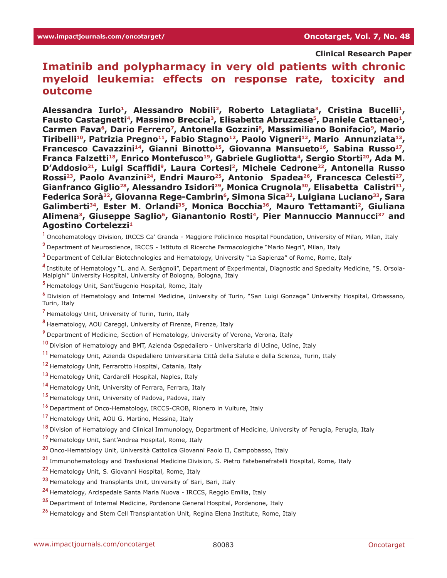### **Clinical Research Paper**

# **Imatinib and polypharmacy in very old patients with chronic myeloid leukemia: effects on response rate, toxicity and outcome**

Alessandra Iurlo<sup>1</sup>, Alessandro Nobili<sup>2</sup>, Roberto Latagliata<sup>3</sup>, Cristina Bucelli<sup>1</sup>, Fausto Castagnetti<sup>4</sup>, Massimo Breccia<sup>3</sup>, Elisabetta Abruzzese<sup>5</sup>, Daniele Cattaneo<sup>1</sup>, Carmen Fava<sup>6</sup>, Dario Ferrero<sup>7</sup>, Antonella Gozzini<sup>8</sup>, Massimiliano Bonifacio<sup>9</sup>, Mario Tiribelli<sup>10</sup>, Patrizia Pregno<sup>11</sup>, Fabio Stagno<sup>12</sup>, Paolo Vigneri<sup>12</sup>, Mario Annunziata<sup>13</sup>, Francesco Cavazzini<sup>14</sup>, Gianni Binotto<sup>15</sup>, Giovanna Mansueto<sup>16</sup>, Sabina Russo<sup>17</sup>, Franca Falzetti<sup>18</sup>, Enrico Montefusco<sup>19</sup>, Gabriele Gugliotta<sup>4</sup>, Sergio Storti<sup>20</sup>, Ada M. D'Addosio<sup>21</sup>, Luigi Scaffidi<sup>9</sup>, Laura Cortesi<sup>2</sup>, Michele Cedrone<sup>22</sup>, Antonella Russo Rossi<sup>23</sup>, Paolo Avanzini<sup>24</sup>, Endri Mauro<sup>25</sup>, Antonio Spadea<sup>26</sup>, Francesca Celesti<sup>27</sup>, Gianfranco Giglio<sup>28</sup>, Alessandro Isidori<sup>29</sup>, Monica Crugnola<sup>30</sup>, Elisabetta Calistri<sup>31</sup>, Federica Sorà<sup>32</sup>, Giovanna Rege-Cambrin<sup>6</sup>, Simona Sica<sup>32</sup>, Luigiana Luciano<sup>33</sup>, Sara Galimberti<sup>34</sup>, Ester M. Orlandi<sup>35</sup>, Monica Bocchia<sup>36</sup>, Mauro Tettamanti<sup>2</sup>, Giuliana Alimena<sup>3</sup>, Giuseppe Saglio<sup>6</sup>, Gianantonio Rosti<sup>4</sup>, Pier Mannuccio Mannucci<sup>37</sup> and **Agostino Cortelezzi1**

**<sup>1</sup>**Oncohematology Division, IRCCS Ca' Granda - Maggiore Policlinico Hospital Foundation, University of Milan, Milan, Italy

**<sup>2</sup>**Department of Neuroscience, IRCCS - Istituto di Ricerche Farmacologiche "Mario Negri", Milan, Italy

**<sup>3</sup>**Department of Cellular Biotechnologies and Hematology, University "La Sapienza" of Rome, Rome, Italy

**<sup>4</sup>**Institute of Hematology "L. and A. Seràgnoli", Department of Experimental, Diagnostic and Specialty Medicine, "S. Orsola-Malpighi" University Hospital, University of Bologna, Bologna, Italy

**<sup>5</sup>**Hematology Unit, Sant'Eugenio Hospital, Rome, Italy

**<sup>6</sup>**Division of Hematology and Internal Medicine, University of Turin, "San Luigi Gonzaga" University Hospital, Orbassano, Turin, Italy

**<sup>7</sup>**Hematology Unit, University of Turin, Turin, Italy

**<sup>8</sup>**Haematology, AOU Careggi, University of Firenze, Firenze, Italy

**<sup>9</sup>**Department of Medicine, Section of Hematology, University of Verona, Verona, Italy

**<sup>10</sup>**Division of Hematology and BMT, Azienda Ospedaliero - Universitaria di Udine, Udine, Italy

**<sup>11</sup>**Hematology Unit, Azienda Ospedaliero Universitaria Città della Salute e della Scienza, Turin, Italy

<sup>12</sup> Hematology Unit, Ferrarotto Hospital, Catania, Italy

13 Hematology Unit, Cardarelli Hospital, Naples, Italy

**<sup>14</sup>**Hematology Unit, University of Ferrara, Ferrara, Italy

15 Hematology Unit, University of Padova, Padova, Italy

**<sup>16</sup>**Department of Onco-Hematology, IRCCS-CROB, Rionero in Vulture, Italy

**<sup>17</sup>**Hematology Unit, AOU G. Martino, Messina, Italy

**<sup>18</sup>**Division of Hematology and Clinical Immunology, Department of Medicine, University of Perugia, Perugia, Italy

**<sup>19</sup>**Hematology Unit, Sant'Andrea Hospital, Rome, Italy

**<sup>20</sup>**Onco-Hematology Unit, Università Cattolica Giovanni Paolo II, Campobasso, Italy

**<sup>21</sup>**Immunohematology and Trasfusional Medicine Division, S. Pietro Fatebenefratelli Hospital, Rome, Italy

22 Hematology Unit, S. Giovanni Hospital, Rome, Italy

**<sup>23</sup>**Hematology and Transplants Unit, University of Bari, Bari, Italy

**<sup>24</sup>**Hematology, Arcispedale Santa Maria Nuova - IRCCS, Reggio Emilia, Italy

**<sup>25</sup>**Department of Internal Medicine, Pordenone General Hospital, Pordenone, Italy

**<sup>26</sup>**Hematology and Stem Cell Transplantation Unit, Regina Elena Institute, Rome, Italy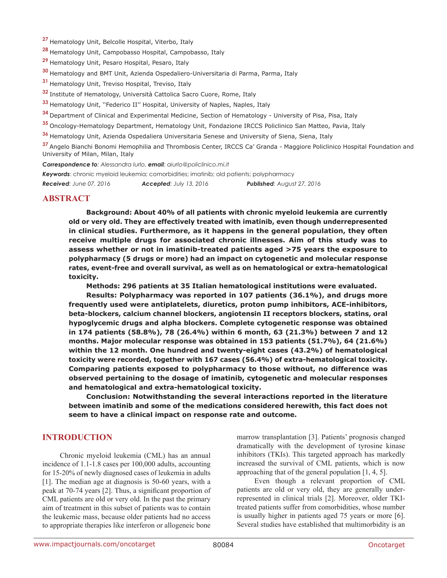- **<sup>27</sup>**Hematology Unit, Belcolle Hospital, Viterbo, Italy
- **<sup>28</sup>**Hematology Unit, Campobasso Hospital, Campobasso, Italy
- 29 Hematology Unit, Pesaro Hospital, Pesaro, Italy
- **<sup>30</sup>**Hematology and BMT Unit, Azienda Ospedaliero-Universitaria di Parma, Parma, Italy
- **31** Hematology Unit, Treviso Hospital, Treviso, Italy
- **<sup>32</sup>**Institute of Hematology, Università Cattolica Sacro Cuore, Rome, Italy
- **<sup>33</sup>**Hematology Unit, ''Federico II'' Hospital, University of Naples, Naples, Italy
- **<sup>34</sup>**Department of Clinical and Experimental Medicine, Section of Hematology University of Pisa, Pisa, Italy
- **<sup>35</sup>**Oncology-Hematology Department, Hematology Unit, Fondazione IRCCS Policlinico San Matteo, Pavia, Italy
- **<sup>36</sup>**Hematology Unit, Azienda Ospedaliera Universitaria Senese and University of Siena, Siena, Italy

**<sup>37</sup>**Angelo Bianchi Bonomi Hemophilia and Thrombosis Center, IRCCS Ca' Granda - Maggiore Policlinico Hospital Foundation and University of Milan, Milan, Italy

*Correspondence to: Alessandra Iurlo, email: aiurlo@policlinico.mi.it*

*Keywords*: chronic myeloid leukemia; comorbidities; imatinib; old patients; polypharmacy *Received: June 07, 2016 Accepted: July 13, 2016 Published: August 27, 2016*

### **ABSTRACT**

**Background: About 40% of all patients with chronic myeloid leukemia are currently old or very old. They are effectively treated with imatinib, even though underrepresented in clinical studies. Furthermore, as it happens in the general population, they often receive multiple drugs for associated chronic illnesses. Aim of this study was to assess whether or not in imatinib-treated patients aged >75 years the exposure to polypharmacy (5 drugs or more) had an impact on cytogenetic and molecular response rates, event-free and overall survival, as well as on hematological or extra-hematological toxicity.**

**Methods: 296 patients at 35 Italian hematological institutions were evaluated.**

**Results: Polypharmacy was reported in 107 patients (36.1%), and drugs more frequently used were antiplatelets, diuretics, proton pump inhibitors, ACE-inhibitors, beta-blockers, calcium channel blockers, angiotensin II receptors blockers, statins, oral hypoglycemic drugs and alpha blockers. Complete cytogenetic response was obtained in 174 patients (58.8%), 78 (26.4%) within 6 month, 63 (21.3%) between 7 and 12 months. Major molecular response was obtained in 153 patients (51.7%), 64 (21.6%) within the 12 month. One hundred and twenty-eight cases (43.2%) of hematological toxicity were recorded, together with 167 cases (56.4%) of extra-hematological toxicity. Comparing patients exposed to polypharmacy to those without, no difference was observed pertaining to the dosage of imatinib, cytogenetic and molecular responses and hematological and extra-hematological toxicity.**

**Conclusion: Notwithstanding the several interactions reported in the literature between imatinib and some of the medications considered herewith, this fact does not seem to have a clinical impact on response rate and outcome.**

#### **INTRODUCTION**

Chronic myeloid leukemia (CML) has an annual incidence of 1.1-1.8 cases per 100,000 adults, accounting for 15-20% of newly diagnosed cases of leukemia in adults [1]. The median age at diagnosis is 50-60 years, with a peak at 70-74 years [2]. Thus, a significant proportion of CML patients are old or very old. In the past the primary aim of treatment in this subset of patients was to contain the leukemic mass, because older patients had no access to appropriate therapies like interferon or allogeneic bone

marrow transplantation [3]. Patients' prognosis changed dramatically with the development of tyrosine kinase inhibitors (TKIs). This targeted approach has markedly increased the survival of CML patients, which is now approaching that of the general population [1, 4, 5].

Even though a relevant proportion of CML patients are old or very old, they are generally underrepresented in clinical trials [2]. Moreover, older TKItreated patients suffer from comorbidities, whose number is usually higher in patients aged 75 years or more [6]. Several studies have established that multimorbidity is an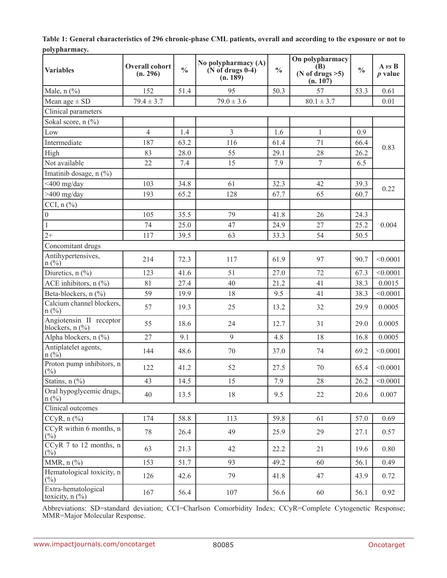| <b>Variables</b>                                                    | <b>Overall cohort</b><br>(n. 296) | $\frac{0}{0}$ | No polypharmacy (A)<br>$(N$ of drugs $0-4)$<br>(n. 189) | $\frac{0}{0}$ | On polypharmacy<br>(B)<br>(N of drugs $>5$ )<br>(n. 107) | $\frac{0}{0}$ | $A \nu S$<br>$p$ value |  |  |
|---------------------------------------------------------------------|-----------------------------------|---------------|---------------------------------------------------------|---------------|----------------------------------------------------------|---------------|------------------------|--|--|
| Male, $n$ $(\%)$                                                    | 152                               | 51.4          | 95                                                      | 50.3          | 57                                                       | 53.3          | 0.61                   |  |  |
| Mean age $\pm$ SD                                                   | $79.4 \pm 3.7$                    |               | $79.0 \pm 3.6$                                          |               | $80.1 \pm 3.7$                                           |               | 0.01                   |  |  |
| Clinical parameters                                                 |                                   |               |                                                         |               |                                                          |               |                        |  |  |
| Sokal score, n (%)                                                  |                                   |               |                                                         |               |                                                          |               |                        |  |  |
| Low                                                                 | $\overline{4}$                    | 1.4           | $\overline{3}$                                          | 1.6           | $\mathbf{1}$                                             | 0.9           |                        |  |  |
| Intermediate                                                        | 187                               | 63.2          | 116                                                     | 61.4          | 71                                                       | 66.4          | 0.83                   |  |  |
| High                                                                | 83                                | 28.0          | 55                                                      | 29.1          | 28                                                       | 26.2          |                        |  |  |
| Not available                                                       | 22                                | 7.4           | 15                                                      | 7.9           | $\tau$                                                   | 6.5           |                        |  |  |
| Imatinib dosage, $n$ (%)                                            |                                   |               |                                                         |               |                                                          |               |                        |  |  |
| $<$ 400 mg/day                                                      | 103                               | 34.8          | 61                                                      | 32.3          | 42                                                       | 39.3          | 0.22                   |  |  |
| $>400$ mg/day                                                       | 193                               | 65.2          | 128                                                     | 67.7          | 65                                                       | 60.7          |                        |  |  |
| CCI, $n$ $(\frac{9}{6})$                                            |                                   |               |                                                         |               |                                                          |               |                        |  |  |
| $\boldsymbol{0}$                                                    | 105                               | 35.5          | 79                                                      | 41.8          | 26                                                       | 24.3          |                        |  |  |
| $\,1\,$                                                             | 74                                | 25.0          | 47                                                      | 24.9          | 27                                                       | 25.2          | 0.004                  |  |  |
| $2+$                                                                | 117                               | 39.5          | 63                                                      | 33.3          | 54                                                       | 50.5          |                        |  |  |
|                                                                     | Concomitant drugs                 |               |                                                         |               |                                                          |               |                        |  |  |
| Antihypertensives,<br>$n(^{0}/_{0})$                                | 214                               | 72.3          | 117                                                     | 61.9          | 97                                                       | 90.7          | < 0.0001               |  |  |
| Diuretics, $n$ (%)                                                  | 123                               | 41.6          | 51                                                      | 27.0          | 72                                                       | 67.3          | < 0.0001               |  |  |
| ACE inhibitors, n (%)                                               | 81                                | 27.4          | 40                                                      | 21.2          | 41                                                       | 38.3          | 0.0015                 |  |  |
| Beta-blockers, n (%)                                                | 59                                | 19.9          | 18                                                      | 9.5           | 41                                                       | 38.3          | < 0.0001               |  |  |
| Calcium channel blockers,<br>$n(^{0}/_{0})$                         | 57                                | 19.3          | 25                                                      | 13.2          | 32                                                       | 29.9          | 0.0005                 |  |  |
| Angiotensin II receptor<br>blockers, $n$ $\left(\frac{9}{6}\right)$ | 55                                | 18.6          | 24                                                      | 12.7          | 31                                                       | 29.0          | 0.0005                 |  |  |
| Alpha blockers, n (%)                                               | 27                                | 9.1           | 9                                                       | 4.8           | 18                                                       | 16.8          | 0.0005                 |  |  |
| Antiplatelet agents,<br>$n (\frac{9}{6})$                           | 144                               | 48.6          | 70                                                      | 37.0          | 74                                                       | 69.2          | < 0.0001               |  |  |
| Proton pump inhibitors, n<br>$(\%)$                                 | 122                               | 41.2          | 52                                                      | 27.5          | $70\,$                                                   | 65.4          | < 0.0001               |  |  |
| Statins, $n$ $(\%)$                                                 | 43                                | 14.5          | 15                                                      | 7.9           | $28\,$                                                   | 26.2          | < 0.0001               |  |  |
| Oral hypoglycemic drugs,<br>$n(\%)$                                 | 40                                | 13.5          | 18                                                      | 9.5           | 22                                                       | 20.6          | 0.007                  |  |  |
| Clinical outcomes                                                   |                                   |               |                                                         |               |                                                          |               |                        |  |  |
| $CCyR, n$ $(\frac{9}{0})$                                           | 174                               | 58.8          | 113                                                     | 59.8          | 61                                                       | 57.0          | 0.69                   |  |  |
| CCyR within 6 months, n<br>$(\%)$                                   | 78                                | 26.4          | 49                                                      | 25.9          | 29                                                       | 27.1          | 0.57                   |  |  |
| $CCyR$ 7 to 12 months, n<br>$(\%)$                                  | 63                                | 21.3          | 42                                                      | 22.2          | 21                                                       | 19.6          | 0.80                   |  |  |
| MMR, $n$ $\left(\frac{9}{6}\right)$                                 | 153                               | 51.7          | 93                                                      | 49.2          | 60                                                       | 56.1          | 0.49                   |  |  |
| Hematological toxicity, n<br>$\binom{0}{0}$                         | 126                               | 42.6          | 79                                                      | 41.8          | 47                                                       | 43.9          | 0.72                   |  |  |
| Extra-hematological<br>toxicity, $n$ $(\%)$                         | 167                               | 56.4          | 107                                                     | 56.6          | 60                                                       | 56.1          | 0.92                   |  |  |

**Table 1: General characteristics of 296 chronic-phase CML patients, overall and according to the exposure or not to polypharmacy.**

Abbreviations: SD=standard deviation; CCI=Charlson Comorbidity Index; CCyR=Complete Cytogenetic Response; MMR=Major Molecular Response.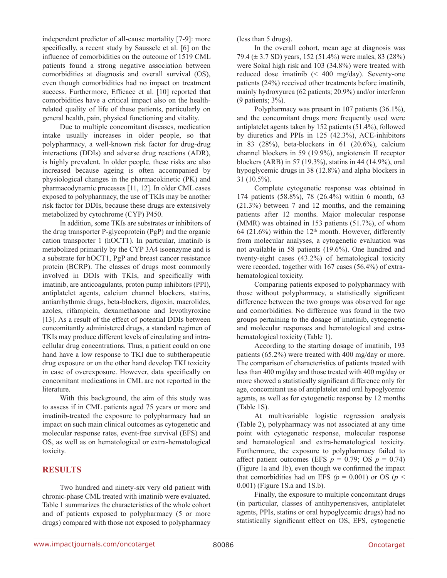independent predictor of all-cause mortality [7-9]: more specifically, a recent study by Saussele et al. [6] on the influence of comorbidities on the outcome of 1519 CML patients found a strong negative association between comorbidities at diagnosis and overall survival (OS), even though comorbidities had no impact on treatment success. Furthermore, Efficace et al. [10] reported that comorbidities have a critical impact also on the healthrelated quality of life of these patients, particularly on general health, pain, physical functioning and vitality.

Due to multiple concomitant diseases, medication intake usually increases in older people, so that polypharmacy, a well-known risk factor for drug-drug interactions (DDIs) and adverse drug reactions (ADR), is highly prevalent. In older people, these risks are also increased because ageing is often accompanied by physiological changes in the pharmacokinetic (PK) and pharmacodynamic processes [11, 12]. In older CML cases exposed to polypharmacy, the use of TKIs may be another risk factor for DDIs, because these drugs are extensively metabolized by cytochrome (CYP) P450.

In addition, some TKIs are substrates or inhibitors of the drug transporter P-glycoprotein (PgP) and the organic cation transporter 1 (hOCT1). In particular, imatinib is metabolized primarily by the CYP 3A4 isoenzyme and is a substrate for hOCT1, PgP and breast cancer resistance protein (BCRP). The classes of drugs most commonly involved in DDIs with TKIs, and specifically with imatinib, are anticoagulants, proton pump inhibitors (PPI), antiplatelet agents, calcium channel blockers, statins, antiarrhythmic drugs, beta-blockers, digoxin, macrolides, azoles, rifampicin, dexamethasone and levothyroxine [13]. As a result of the effect of potential DDIs between concomitantly administered drugs, a standard regimen of TKIs may produce different levels of circulating and intracellular drug concentrations. Thus, a patient could on one hand have a low response to TKI due to subtherapeutic drug exposure or on the other hand develop TKI toxicity in case of overexposure. However, data specifically on concomitant medications in CML are not reported in the literature.

With this background, the aim of this study was to assess if in CML patients aged 75 years or more and imatinib-treated the exposure to polypharmacy had an impact on such main clinical outcomes as cytogenetic and molecular response rates, event-free survival (EFS) and OS, as well as on hematological or extra-hematological toxicity.

### **RESULTS**

Two hundred and ninety-six very old patient with chronic-phase CML treated with imatinib were evaluated. Table 1 summarizes the characteristics of the whole cohort and of patients exposed to polypharmacy (5 or more drugs) compared with those not exposed to polypharmacy (less than 5 drugs).

In the overall cohort, mean age at diagnosis was 79.4 (± 3.7 SD) years, 152 (51.4%) were males, 83 (28%) were Sokal high risk and 103 (34.8%) were treated with reduced dose imatinib (< 400 mg/day). Seventy-one patients (24%) received other treatments before imatinib, mainly hydroxyurea (62 patients; 20.9%) and/or interferon (9 patients; 3%).

Polypharmacy was present in 107 patients (36.1%), and the concomitant drugs more frequently used were antiplatelet agents taken by 152 patients (51.4%), followed by diuretics and PPIs in 125 (42.3%), ACE-inhibitors in 83 (28%), beta-blockers in 61 (20.6%), calcium channel blockers in 59 (19.9%), angiotensin II receptor blockers (ARB) in 57 (19.3%), statins in 44 (14.9%), oral hypoglycemic drugs in 38 (12.8%) and alpha blockers in 31 (10.5%).

Complete cytogenetic response was obtained in 174 patients (58.8%), 78 (26.4%) within 6 month, 63 (21.3%) between 7 and 12 months, and the remaining patients after 12 months. Major molecular response (MMR) was obtained in 153 patients (51.7%), of whom 64 (21.6%) within the  $12<sup>th</sup>$  month. However, differently from molecular analyses, a cytogenetic evaluation was not available in 58 patients (19.6%). One hundred and twenty-eight cases (43.2%) of hematological toxicity were recorded, together with 167 cases (56.4%) of extrahematological toxicity.

Comparing patients exposed to polypharmacy with those without polypharmacy, a statistically significant difference between the two groups was observed for age and comorbidities. No difference was found in the two groups pertaining to the dosage of imatinib, cytogenetic and molecular responses and hematological and extrahematological toxicity (Table 1).

According to the starting dosage of imatinib, 193 patients (65.2%) were treated with 400 mg/day or more. The comparison of characteristics of patients treated with less than 400 mg/day and those treated with 400 mg/day or more showed a statistically significant difference only for age, concomitant use of antiplatelet and oral hypoglycemic agents, as well as for cytogenetic response by 12 months (Table 1S).

At multivariable logistic regression analysis (Table 2), polypharmacy was not associated at any time point with cytogenetic response, molecular response and hematological and extra-hematological toxicity. Furthermore, the exposure to polypharmacy failed to affect patient outcomes (EFS  $p = 0.79$ ; OS  $p = 0.74$ ) (Figure 1a and 1b), even though we confirmed the impact that comorbidities had on EFS  $(p = 0.001)$  or OS  $(p <$ 0.001) (Figure 1S.a and 1S.b).

Finally, the exposure to multiple concomitant drugs (in particular, classes of antihypertensives, antiplatelet agents, PPIs, statins or oral hypoglycemic drugs) had no statistically significant effect on OS, EFS, cytogenetic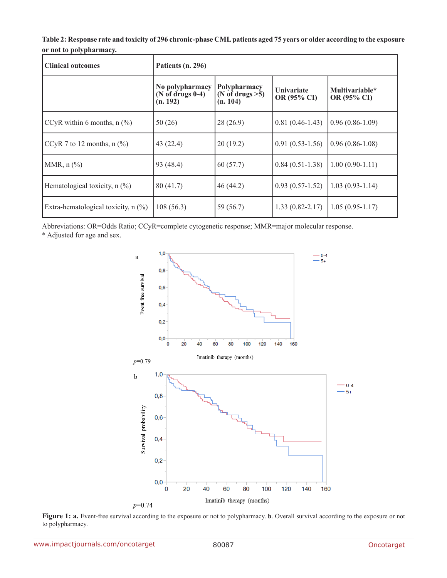**Table 2: Response rate and toxicity of 296 chronic-phase CML patients aged 75 years or older according to the exposure or not to polypharmacy.**

| <b>Clinical outcomes</b>              | Patients (n. 296)                                   |                                                |                                  |                               |  |  |  |  |
|---------------------------------------|-----------------------------------------------------|------------------------------------------------|----------------------------------|-------------------------------|--|--|--|--|
|                                       | No polypharmacy<br>$(N$ of drugs $0-4)$<br>(n. 192) | Polypharmacy<br>(N of drugs $>5$ )<br>(n. 104) | <b>Univariate</b><br>OR (95% CI) | Multivariable*<br>OR (95% CI) |  |  |  |  |
| CCyR within 6 months, $n$ (%)         | 50(26)                                              | 28(26.9)                                       | $0.81(0.46-1.43)$                | $(0.96(0.86-1.09))$           |  |  |  |  |
| CCyR 7 to 12 months, $n$ (%)          | 43(22.4)                                            | 20(19.2)                                       | $0.91(0.53-1.56)$                | $0.96(0.86-1.08)$             |  |  |  |  |
| MMR, $n$ $\left(\frac{9}{6}\right)$   | 93 (48.4)                                           | 60(57.7)                                       | $0.84(0.51-1.38)$                | $1.00(0.90-1.11)$             |  |  |  |  |
| Hematological toxicity, $n$ (%)       | 80(41.7)                                            | 46(44.2)                                       | $0.93(0.57-1.52)$                | $1.03(0.93-1.14)$             |  |  |  |  |
| Extra-hematological toxicity, $n$ (%) | 108(56.3)                                           | 59 (56.7)                                      | $1.33(0.82 - 2.17)$              | $1.05(0.95-1.17)$             |  |  |  |  |

Abbreviations: OR=Odds Ratio; CCyR=complete cytogenetic response; MMR=major molecular response.

\* Adjusted for age and sex.



**Figure 1: a.** Event-free survival according to the exposure or not to polypharmacy. **b**. Overall survival according to the exposure or not to polypharmacy.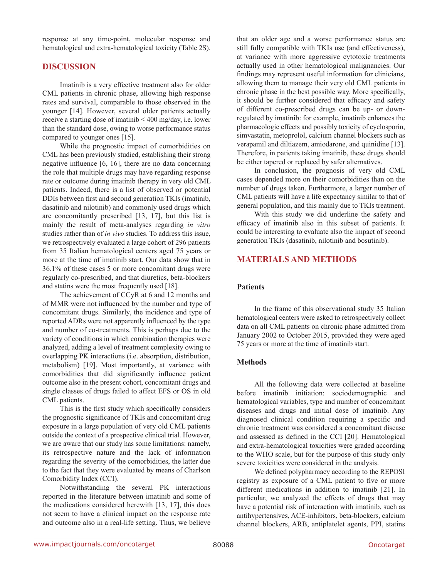response at any time-point, molecular response and hematological and extra-hematological toxicity (Table 2S).

### **DISCUSSION**

Imatinib is a very effective treatment also for older CML patients in chronic phase, allowing high response rates and survival, comparable to those observed in the younger [14]. However, several older patients actually receive a starting dose of imatinib < 400 mg/day, i.e. lower than the standard dose, owing to worse performance status compared to younger ones [15].

While the prognostic impact of comorbidities on CML has been previously studied, establishing their strong negative influence [6, 16], there are no data concerning the role that multiple drugs may have regarding response rate or outcome during imatinib therapy in very old CML patients. Indeed, there is a list of observed or potential DDIs between first and second generation TKIs (imatinib, dasatinib and nilotinib) and commonly used drugs which are concomitantly prescribed [13, 17], but this list is mainly the result of meta-analyses regarding *in vitro* studies rather than of *in vivo* studies. To address this issue, we retrospectively evaluated a large cohort of 296 patients from 35 Italian hematological centers aged 75 years or more at the time of imatinib start. Our data show that in 36.1% of these cases 5 or more concomitant drugs were regularly co-prescribed, and that diuretics, beta-blockers and statins were the most frequently used [18].

The achievement of CCyR at 6 and 12 months and of MMR were not influenced by the number and type of concomitant drugs. Similarly, the incidence and type of reported ADRs were not apparently influenced by the type and number of co-treatments. This is perhaps due to the variety of conditions in which combination therapies were analyzed, adding a level of treatment complexity owing to overlapping PK interactions (i.e. absorption, distribution, metabolism) [19]. Most importantly, at variance with comorbidities that did significantly influence patient outcome also in the present cohort, concomitant drugs and single classes of drugs failed to affect EFS or OS in old CML patients.

This is the first study which specifically considers the prognostic significance of TKIs and concomitant drug exposure in a large population of very old CML patients outside the context of a prospective clinical trial. However, we are aware that our study has some limitations: namely, its retrospective nature and the lack of information regarding the severity of the comorbidities, the latter due to the fact that they were evaluated by means of Charlson Comorbidity Index (CCI).

Notwithstanding the several PK interactions reported in the literature between imatinib and some of the medications considered herewith [13, 17], this does not seem to have a clinical impact on the response rate and outcome also in a real-life setting. Thus, we believe

that an older age and a worse performance status are still fully compatible with TKIs use (and effectiveness), at variance with more aggressive cytotoxic treatments actually used in other hematological malignancies. Our findings may represent useful information for clinicians, allowing them to manage their very old CML patients in chronic phase in the best possible way. More specifically, it should be further considered that efficacy and safety of different co-prescribed drugs can be up- or downregulated by imatinib: for example, imatinib enhances the pharmacologic effects and possibly toxicity of cyclosporin, simvastatin, metoprolol, calcium channel blockers such as verapamil and diltiazem, amiodarone, and quinidine [13]. Therefore, in patients taking imatinib, these drugs should be either tapered or replaced by safer alternatives.

In conclusion, the prognosis of very old CML cases depended more on their comorbidities than on the number of drugs taken. Furthermore, a larger number of CML patients will have a life expectancy similar to that of general population, and this mainly due to TKIs treatment.

With this study we did underline the safety and efficacy of imatinib also in this subset of patients. It could be interesting to evaluate also the impact of second generation TKIs (dasatinib, nilotinib and bosutinib).

# **MATERIALS AND METHODS**

#### **Patients**

In the frame of this observational study 35 Italian hematological centers were asked to retrospectively collect data on all CML patients on chronic phase admitted from January 2002 to October 2015, provided they were aged 75 years or more at the time of imatinib start.

#### **Methods**

All the following data were collected at baseline before imatinib initiation: sociodemographic and hematological variables, type and number of concomitant diseases and drugs and initial dose of imatinib. Any diagnosed clinical condition requiring a specific and chronic treatment was considered a concomitant disease and assessed as defined in the CCI [20]. Hematological and extra-hematological toxicities were graded according to the WHO scale, but for the purpose of this study only severe toxicities were considered in the analysis.

We defined polypharmacy according to the REPOSI registry as exposure of a CML patient to five or more different medications in addition to imatinib [21]. In particular, we analyzed the effects of drugs that may have a potential risk of interaction with imatinib, such as antihypertensives, ACE-inhibitors, beta-blockers, calcium channel blockers, ARB, antiplatelet agents, PPI, statins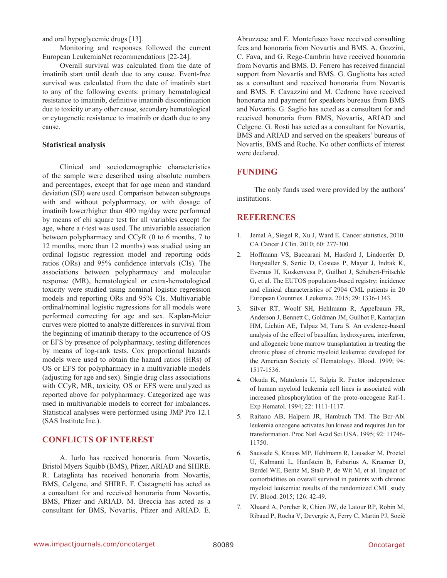and oral hypoglycemic drugs [13].

Monitoring and responses followed the current European LeukemiaNet recommendations [22-24].

Overall survival was calculated from the date of imatinib start until death due to any cause. Event-free survival was calculated from the date of imatinib start to any of the following events: primary hematological resistance to imatinib, definitive imatinib discontinuation due to toxicity or any other cause, secondary hematological or cytogenetic resistance to imatinib or death due to any cause.

#### **Statistical analysis**

Clinical and sociodemographic characteristics of the sample were described using absolute numbers and percentages, except that for age mean and standard deviation (SD) were used. Comparison between subgroups with and without polypharmacy, or with dosage of imatinib lower/higher than 400 mg/day were performed by means of chi square test for all variables except for age, where a *t*-test was used. The univariable association between polypharmacy and CCyR (0 to 6 months, 7 to 12 months, more than 12 months) was studied using an ordinal logistic regression model and reporting odds ratios (ORs) and 95% confidence intervals (CIs). The associations between polypharmacy and molecular response (MR), hematological or extra-hematological toxicity were studied using nominal logistic regression models and reporting ORs and 95% CIs. Multivariable ordinal/nominal logistic regressions for all models were performed correcting for age and sex. Kaplan-Meier curves were plotted to analyze differences in survival from the beginning of imatinib therapy to the occurrence of OS or EFS by presence of polypharmacy, testing differences by means of log-rank tests. Cox proportional hazards models were used to obtain the hazard ratios (HRs) of OS or EFS for polypharmacy in a multivariable models (adjusting for age and sex). Single drug class associations with CCyR, MR, toxicity, OS or EFS were analyzed as reported above for polypharmacy. Categorized age was used in multivariable models to correct for imbalances. Statistical analyses were performed using JMP Pro 12.1 (SAS Institute Inc.).

# **CONFLICTS OF INTEREST**

A. Iurlo has received honoraria from Novartis, Bristol Myers Squibb (BMS), Pfizer, ARIAD and SHIRE. R. Latagliata has received honoraria from Novartis, BMS, Celgene, and SHIRE. F. Castagnetti has acted as a consultant for and received honoraria from Novartis, BMS, Pfizer and ARIAD. M. Breccia has acted as a consultant for BMS, Novartis, Pfizer and ARIAD. E. Abruzzese and E. Montefusco have received consulting fees and honoraria from Novartis and BMS. A. Gozzini, C. Fava, and G. Rege-Cambrin have received honoraria from Novartis and BMS. D. Ferrero has received financial support from Novartis and BMS. G. Gugliotta has acted as a consultant and received honoraria from Novartis and BMS. F. Cavazzini and M. Cedrone have received honoraria and payment for speakers bureaus from BMS and Novartis. G. Saglio has acted as a consultant for and received honoraria from BMS, Novartis, ARIAD and Celgene. G. Rosti has acted as a consultant for Novartis, BMS and ARIAD and served on the speakers' bureaus of Novartis, BMS and Roche. No other conflicts of interest were declared.

# **FUNDING**

The only funds used were provided by the authors' institutions.

# **REFERENCES**

- 1. Jemal A, Siegel R, Xu J, Ward E. Cancer statistics, 2010. CA Cancer J Clin. 2010; 60: 277-300.
- 2. Hoffmann VS, Baccarani M, Hasford J, Lindoerfer D, Burgstaller S, Sertic D, Costeas P, Mayer J, Indrak K, Everaus H, Koskenvesa P, Guilhot J, Schubert-Fritschle G, et al. The EUTOS population-based registry: incidence and clinical characteristics of 2904 CML patients in 20 European Countries. Leukemia. 2015; 29: 1336-1343.
- 3. Silver RT, Woolf SH, Hehlmann R, Appelbaum FR, Anderson J, Bennett C, Goldman JM, Guilhot F, Kantarjian HM, Lichtin AE, Talpaz M, Tura S. An evidence-based analysis of the effect of busulfan, hydroxyurea, interferon, and allogeneic bone marrow transplantation in treating the chronic phase of chronic myeloid leukemia: developed for the American Society of Hematology. Blood. 1999; 94: 1517-1536.
- 4. Okuda K, Matulonis U, Salgia R. Factor independence of human myeloid leukemia cell lines is associated with increased phosphorylation of the proto-oncogene Raf-1. Exp Hematol. 1994; 22: 1111-1117.
- 5. Raitano AB, Halpern JR, Hambuch TM. The Bcr-Abl leukemia oncogene activates Jun kinase and requires Jun for transformation. Proc Natl Acad Sci USA. 1995; 92: 11746- 11750.
- 6. Saussele S, Krauss MP, Hehlmann R, Lauseker M, Proetel U, Kalmanti L, Hanfstein B, Fabarius A, Kraemer D, Berdel WE, Bentz M, Staib P, de Wit M, et al. Impact of comorbidities on overall survival in patients with chronic myeloid leukemia: results of the randomized CML study IV. Blood. 2015; 126: 42-49.
- 7. Xhaard A, Porcher R, Chien JW, de Latour RP, Robin M, Ribaud P, Rocha V, Devergie A, Ferry C, Martin PJ, Socié